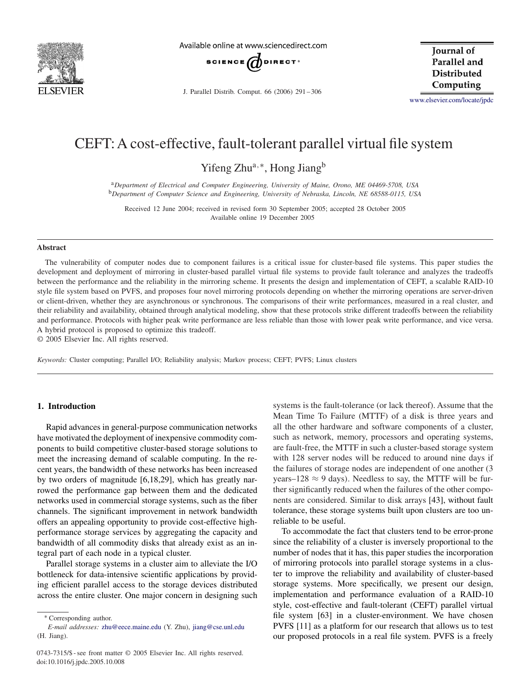

Available online at www.sciencedirect.com



J. Parallel Distrib. Comput. 66 (2006) 291 – 306

**Iournal** of Parallel and **Distributed** Computing

[www.elsevier.com/locate/jpdc](http://www.elsevier.com/locate/jpdc)

# CEFT:A cost-effective, fault-tolerant parallel virtual file system

Yifeng Zhu<sup>a,∗</sup>, Hong Jiang<sup>b</sup>

<sup>a</sup>*Department of Electrical and Computer Engineering, University of Maine, Orono, ME 04469-5708, USA* <sup>b</sup>*Department of Computer Science and Engineering, University of Nebraska, Lincoln, NE 68588-0115, USA*

Received 12 June 2004; received in revised form 30 September 2005; accepted 28 October 2005 Available online 19 December 2005

#### **Abstract**

The vulnerability of computer nodes due to component failures is a critical issue for cluster-based file systems. This paper studies the development and deployment of mirroring in cluster-based parallel virtual file systems to provide fault tolerance and analyzes the tradeoffs between the performance and the reliability in the mirroring scheme. It presents the design and implementation of CEFT, a scalable RAID-10 style file system based on PVFS, and proposes four novel mirroring protocols depending on whether the mirroring operations are server-driven or client-driven, whether they are asynchronous or synchronous. The comparisons of their write performances, measured in a real cluster, and their reliability and availability, obtained through analytical modeling, show that these protocols strike different tradeoffs between the reliability and performance. Protocols with higher peak write performance are less reliable than those with lower peak write performance, and vice versa. A hybrid protocol is proposed to optimize this tradeoff.

© 2005 Elsevier Inc. All rights reserved.

*Keywords:* Cluster computing; Parallel I/O; Reliability analysis; Markov process; CEFT; PVFS; Linux clusters

# **1. Introduction**

Rapid advances in general-purpose communication networks have motivated the deployment of inexpensive commodity components to build competitive cluster-based storage solutions to meet the increasing demand of scalable computing. In the recent years, the bandwidth of these networks has been increased by two orders of magnitude [\[6,18,29\],](#page-14-0) which has greatly narrowed the performance gap between them and the dedicated networks used in commercial storage systems, such as the fiber channels. The significant improvement in network bandwidth offers an appealing opportunity to provide cost-effective highperformance storage services by aggregating the capacity and bandwidth of all commodity disks that already exist as an integral part of each node in a typical cluster.

Parallel storage systems in a cluster aim to alleviate the I/O bottleneck for data-intensive scientific applications by providing efficient parallel access to the storage devices distributed across the entire cluster. One major concern in designing such

∗ Corresponding author.

systems is the fault-tolerance (or lack thereof). Assume that the Mean Time To Failure (MTTF) of a disk is three years and all the other hardware and software components of a cluster, such as network, memory, processors and operating systems, are fault-free, the MTTF in such a cluster-based storage system with 128 server nodes will be reduced to around nine days if the failures of storage nodes are independent of one another (3 years–128  $\approx$  9 days). Needless to say, the MTTF will be further significantly reduced when the failures of the other components are considered. Similar to disk arrays [\[43\],](#page-14-0) without fault tolerance, these storage systems built upon clusters are too unreliable to be useful.

To accommodate the fact that clusters tend to be error-prone since the reliability of a cluster is inversely proportional to the number of nodes that it has, this paper studies the incorporation of mirroring protocols into parallel storage systems in a cluster to improve the reliability and availability of cluster-based storage systems. More specifically, we present our design, implementation and performance evaluation of a RAID-10 style, cost-effective and fault-tolerant (CEFT) parallel virtual file system [\[63\]](#page-15-0) in a cluster-environment. We have chosen PVFS [\[11\]](#page-14-0) as a platform for our research that allows us to test our proposed protocols in a real file system. PVFS is a freely

*E-mail addresses:* [zhu@eece.maine.edu](mailto:zhu@eece.maine.edu) (Y. Zhu), [jiang@cse.unl.edu](mailto:jiang@cse.unl.edu) (H. Jiang).

<sup>0743-7315/\$ -</sup> see front matter © 2005 Elsevier Inc. All rights reserved. doi:10.1016/j.jpdc.2005.10.008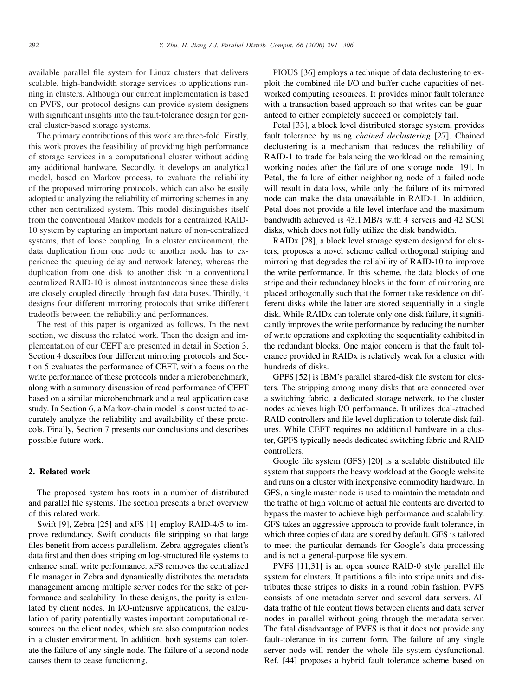available parallel file system for Linux clusters that delivers scalable, high-bandwidth storage services to applications running in clusters. Although our current implementation is based on PVFS, our protocol designs can provide system designers with significant insights into the fault-tolerance design for general cluster-based storage systems.

The primary contributions of this work are three-fold. Firstly, this work proves the feasibility of providing high performance of storage services in a computational cluster without adding any additional hardware. Secondly, it develops an analytical model, based on Markov process, to evaluate the reliability of the proposed mirroring protocols, which can also be easily adopted to analyzing the reliability of mirroring schemes in any other non-centralized system. This model distinguishes itself from the conventional Markov models for a centralized RAID-10 system by capturing an important nature of non-centralized systems, that of loose coupling. In a cluster environment, the data duplication from one node to another node has to experience the queuing delay and network latency, whereas the duplication from one disk to another disk in a conventional centralized RAID-10 is almost instantaneous since these disks are closely coupled directly through fast data buses. Thirdly, it designs four different mirroring protocols that strike different tradeoffs between the reliability and performances.

The rest of this paper is organized as follows. In the next section, we discuss the related work. Then the design and implementation of our CEFT are presented in detail in Section [3.](#page-2-0) Section [4](#page-5-0) describes four different mirroring protocols and Section [5](#page-6-0) evaluates the performance of CEFT, with a focus on the write performance of these protocols under a microbenchmark, along with a summary discussion of read performance of CEFT based on a similar microbenchmark and a real application case study. In Section [6,](#page-9-0) a Markov-chain model is constructed to accurately analyze the reliability and availability of these protocols. Finally, Section [7](#page-13-0) presents our conclusions and describes possible future work.

# **2. Related work**

The proposed system has roots in a number of distributed and parallel file systems. The section presents a brief overview of this related work.

Swift [\[9\],](#page-14-0) Zebra [\[25\]](#page-14-0) and xFS [\[1\]](#page-13-0) employ RAID-4/5 to improve redundancy. Swift conducts file stripping so that large files benefit from access parallelism. Zebra aggregates client's data first and then does striping on log-structured file systems to enhance small write performance. xFS removes the centralized file manager in Zebra and dynamically distributes the metadata management among multiple server nodes for the sake of performance and scalability. In these designs, the parity is calculated by client nodes. In I/O-intensive applications, the calculation of parity potentially wastes important computational resources on the client nodes, which are also computation nodes in a cluster environment. In addition, both systems can tolerate the failure of any single node. The failure of a second node causes them to cease functioning.

PIOUS [\[36\]](#page-14-0) employs a technique of data declustering to exploit the combined file I/O and buffer cache capacities of networked computing resources. It provides minor fault tolerance with a transaction-based approach so that writes can be guaranteed to either completely succeed or completely fail.

Petal [\[33\],](#page-14-0) a block level distributed storage system, provides fault tolerance by using *chained declustering* [\[27\].](#page-14-0) Chained declustering is a mechanism that reduces the reliability of RAID-1 to trade for balancing the workload on the remaining working nodes after the failure of one storage node [\[19\].](#page-14-0) In Petal, the failure of either neighboring node of a failed node will result in data loss, while only the failure of its mirrored node can make the data unavailable in RAID-1. In addition, Petal does not provide a file level interface and the maximum bandwidth achieved is 43.1 MB/s with 4 servers and 42 SCSI disks, which does not fully utilize the disk bandwidth.

RAIDx [\[28\],](#page-14-0) a block level storage system designed for clusters, proposes a novel scheme called orthogonal striping and mirroring that degrades the reliability of RAID-10 to improve the write performance. In this scheme, the data blocks of one stripe and their redundancy blocks in the form of mirroring are placed orthogonally such that the former take residence on different disks while the latter are stored sequentially in a single disk. While RAIDx can tolerate only one disk failure, it significantly improves the write performance by reducing the number of write operations and exploiting the sequentiality exhibited in the redundant blocks. One major concern is that the fault tolerance provided in RAIDx is relatively weak for a cluster with hundreds of disks.

GPFS [\[52\]](#page-14-0) is IBM's parallel shared-disk file system for clusters. The stripping among many disks that are connected over a switching fabric, a dedicated storage network, to the cluster nodes achieves high I/O performance. It utilizes dual-attached RAID controllers and file level duplication to tolerate disk failures. While CEFT requires no additional hardware in a cluster, GPFS typically needs dedicated switching fabric and RAID controllers.

Google file system (GFS) [\[20\]](#page-14-0) is a scalable distributed file system that supports the heavy workload at the Google website and runs on a cluster with inexpensive commodity hardware. In GFS, a single master node is used to maintain the metadata and the traffic of high volume of actual file contents are diverted to bypass the master to achieve high performance and scalability. GFS takes an aggressive approach to provide fault tolerance, in which three copies of data are stored by default. GFS is tailored to meet the particular demands for Google's data processing and is not a general-purpose file system.

PVFS [\[11,31\]](#page-14-0) is an open source RAID-0 style parallel file system for clusters. It partitions a file into stripe units and distributes these stripes to disks in a round robin fashion. PVFS consists of one metadata server and several data servers. All data traffic of file content flows between clients and data server nodes in parallel without going through the metadata server. The fatal disadvantage of PVFS is that it does not provide any fault-tolerance in its current form. The failure of any single server node will render the whole file system dysfunctional. Ref. [\[44\]](#page-14-0) proposes a hybrid fault tolerance scheme based on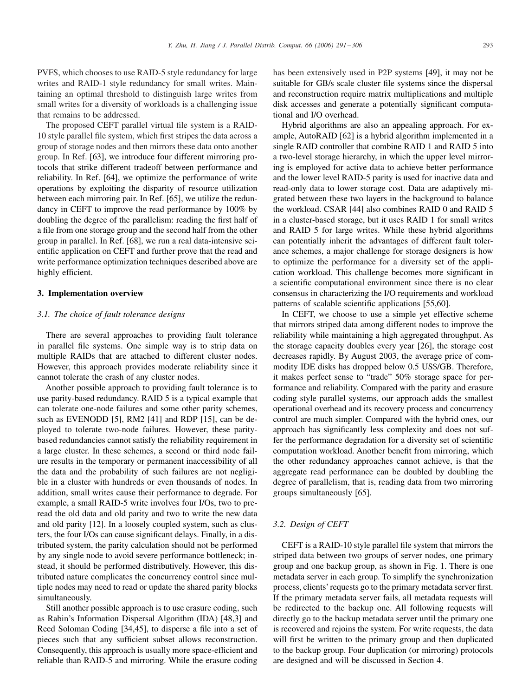<span id="page-2-0"></span>PVFS, which chooses to use RAID-5 style redundancy for large writes and RAID-1 style redundancy for small writes. Maintaining an optimal threshold to distinguish large writes from small writes for a diversity of workloads is a challenging issue that remains to be addressed.

The proposed CEFT parallel virtual file system is a RAID-10 style parallel file system, which first stripes the data across a group of storage nodes and then mirrors these data onto another group. In Ref. [\[63\],](#page-15-0) we introduce four different mirroring protocols that strike different tradeoff between performance and reliability. In Ref. [\[64\],](#page-15-0) we optimize the performance of write operations by exploiting the disparity of resource utilization between each mirroring pair. In Ref. [\[65\],](#page-15-0) we utilize the redundancy in CEFT to improve the read performance by 100% by doubling the degree of the parallelism: reading the first half of a file from one storage group and the second half from the other group in parallel. In Ref. [\[68\],](#page-15-0) we run a real data-intensive scientific application on CEFT and further prove that the read and write performance optimization techniques described above are highly efficient.

# **3. Implementation overview**

#### *3.1. The choice of fault tolerance designs*

There are several approaches to providing fault tolerance in parallel file systems. One simple way is to strip data on multiple RAIDs that are attached to different cluster nodes. However, this approach provides moderate reliability since it cannot tolerate the crash of any cluster nodes.

Another possible approach to providing fault tolerance is to use parity-based redundancy. RAID 5 is a typical example that can tolerate one-node failures and some other parity schemes, such as EVENODD [\[5\],](#page-14-0) RM2 [\[41\]](#page-14-0) and RDP [\[15\],](#page-14-0) can be deployed to tolerate two-node failures. However, these paritybased redundancies cannot satisfy the reliability requirement in a large cluster. In these schemes, a second or third node failure results in the temporary or permanent inaccessibility of all the data and the probability of such failures are not negligible in a cluster with hundreds or even thousands of nodes. In addition, small writes cause their performance to degrade. For example, a small RAID-5 write involves four I/Os, two to preread the old data and old parity and two to write the new data and old parity [\[12\].](#page-14-0) In a loosely coupled system, such as clusters, the four I/Os can cause significant delays. Finally, in a distributed system, the parity calculation should not be performed by any single node to avoid severe performance bottleneck; instead, it should be performed distributively. However, this distributed nature complicates the concurrency control since multiple nodes may need to read or update the shared parity blocks simultaneously.

Still another possible approach is to use erasure coding, such as Rabin's Information Dispersal Algorithm (IDA) [\[48](#page-14-0)[,3\]](#page-13-0) and Reed Soloman Coding [\[34,45\],](#page-14-0) to disperse a file into a set of pieces such that any sufficient subset allows reconstruction. Consequently, this approach is usually more space-efficient and reliable than RAID-5 and mirroring. While the erasure coding

has been extensively used in P2P systems [\[49\],](#page-14-0) it may not be suitable for GB/s scale cluster file systems since the dispersal and reconstruction require matrix multiplications and multiple disk accesses and generate a potentially significant computational and I/O overhead.

Hybrid algorithms are also an appealing approach. For example, AutoRAID [\[62\]](#page-15-0) is a hybrid algorithm implemented in a single RAID controller that combine RAID 1 and RAID 5 into a two-level storage hierarchy, in which the upper level mirroring is employed for active data to achieve better performance and the lower level RAID-5 parity is used for inactive data and read-only data to lower storage cost. Data are adaptively migrated between these two layers in the background to balance the workload. CSAR [\[44\]](#page-14-0) also combines RAID 0 and RAID 5 in a cluster-based storage, but it uses RAID 1 for small writes and RAID 5 for large writes. While these hybrid algorithms can potentially inherit the advantages of different fault tolerance schemes, a major challenge for storage designers is how to optimize the performance for a diversity set of the application workload. This challenge becomes more significant in a scientific computational environment since there is no clear consensus in characterizing the I/O requirements and workload patterns of scalable scientific applications [\[55,60\].](#page-15-0)

In CEFT, we choose to use a simple yet effective scheme that mirrors striped data among different nodes to improve the reliability while maintaining a high aggregated throughput. As the storage capacity doubles every year [\[26\],](#page-14-0) the storage cost decreases rapidly. By August 2003, the average price of commodity IDE disks has dropped below 0.5 US\$/GB. Therefore, it makes perfect sense to "trade" 50% storage space for performance and reliability. Compared with the parity and erasure coding style parallel systems, our approach adds the smallest operational overhead and its recovery process and concurrency control are much simpler. Compared with the hybrid ones, our approach has significantly less complexity and does not suffer the performance degradation for a diversity set of scientific computation workload. Another benefit from mirroring, which the other redundancy approaches cannot achieve, is that the aggregate read performance can be doubled by doubling the degree of parallelism, that is, reading data from two mirroring groups simultaneously [\[65\].](#page-15-0)

# *3.2. Design of CEFT*

CEFT is a RAID-10 style parallel file system that mirrors the striped data between two groups of server nodes, one primary group and one backup group, as shown in Fig. [1.](#page-3-0) There is one metadata server in each group. To simplify the synchronization process, clients' requests go to the primary metadata server first. If the primary metadata server fails, all metadata requests will be redirected to the backup one. All following requests will directly go to the backup metadata server until the primary one is recovered and rejoins the system. For write requests, the data will first be written to the primary group and then duplicated to the backup group. Four duplication (or mirroring) protocols are designed and will be discussed in Section [4.](#page-5-0)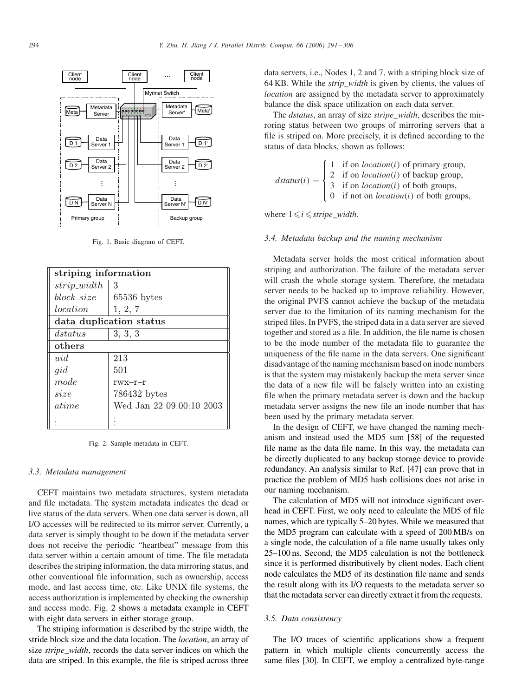<span id="page-3-0"></span>

Fig. 1. Basic diagram of CEFT.

| striping information    |                          |  |  |
|-------------------------|--------------------------|--|--|
| $strip\_width$          | 3                        |  |  |
| $block\_size$           | $65536$ bytes            |  |  |
| location                | 1, 2, 7                  |  |  |
| data duplication status |                          |  |  |
| dstatus                 | 3, 3, 3                  |  |  |
| others                  |                          |  |  |
| uid                     | 213                      |  |  |
| gid                     | 501                      |  |  |
| mode                    | $rwx-r-r$                |  |  |
| size                    | 786432 bytes             |  |  |
| atime                   | Wed Jan 22 09:00:10 2003 |  |  |
|                         |                          |  |  |

Fig. 2. Sample metadata in CEFT.

#### *3.3. Metadata management*

CEFT maintains two metadata structures, system metadata and file metadata. The system metadata indicates the dead or live status of the data servers. When one data server is down, all I/O accesses will be redirected to its mirror server. Currently, a data server is simply thought to be down if the metadata server does not receive the periodic "heartbeat" message from this data server within a certain amount of time. The file metadata describes the striping information, the data mirroring status, and other conventional file information, such as ownership, access mode, and last access time, etc. Like UNIX file systems, the access authorization is implemented by checking the ownership and access mode. Fig. 2 shows a metadata example in CEFT with eight data servers in either storage group.

The striping information is described by the stripe width, the stride block size and the data location. The *location*, an array of size *stripe*\_*width*, records the data server indices on which the data are striped. In this example, the file is striped across three

data servers, i.e., Nodes 1, 2 and 7, with a striping block size of 64 KB. While the *strip*\_*width* is given by clients, the values of *location* are assigned by the metadata server to approximately balance the disk space utilization on each data server.

The *dstatus*, an array of size *stripe*\_*width*, describes the mirroring status between two groups of mirroring servers that a file is striped on. More precisely, it is defined according to the status of data blocks, shown as follows:

|  |  | $\text{d}status(i) = \begin{cases} 1 & \text{if on } location(i) \text{ of primary group,} \\ 2 & \text{if on } location(i) \text{ of backup group,} \\ 3 & \text{if on } location(i) \text{ of both groups,} \\ 0 & \text{if not on } location(i) \text{ of both groups,} \end{cases}$ |
|--|--|-----------------------------------------------------------------------------------------------------------------------------------------------------------------------------------------------------------------------------------------------------------------------------------------|
|--|--|-----------------------------------------------------------------------------------------------------------------------------------------------------------------------------------------------------------------------------------------------------------------------------------------|

where  $1 \le i \le$ *stripe width*.

#### *3.4. Metadata backup and the naming mechanism*

Metadata server holds the most critical information about striping and authorization. The failure of the metadata server will crash the whole storage system. Therefore, the metadata server needs to be backed up to improve reliability. However, the original PVFS cannot achieve the backup of the metadata server due to the limitation of its naming mechanism for the striped files. In PVFS, the striped data in a data server are sieved together and stored as a file. In addition, the file name is chosen to be the inode number of the metadata file to guarantee the uniqueness of the file name in the data servers. One significant disadvantage of the naming mechanism based on inode numbers is that the system may mistakenly backup the meta server since the data of a new file will be falsely written into an existing file when the primary metadata server is down and the backup metadata server assigns the new file an inode number that has been used by the primary metadata server.

In the design of CEFT, we have changed the naming mechanism and instead used the MD5 sum [\[58\]](#page-15-0) of the requested file name as the data file name. In this way, the metadata can be directly duplicated to any backup storage device to provide redundancy. An analysis similar to Ref. [\[47\]](#page-14-0) can prove that in practice the problem of MD5 hash collisions does not arise in our naming mechanism.

The calculation of MD5 will not introduce significant overhead in CEFT. First, we only need to calculate the MD5 of file names, which are typically 5–20 bytes. While we measured that the MD5 program can calculate with a speed of 200 MB/s on a single node, the calculation of a file name usually takes only 25–100 ns. Second, the MD5 calculation is not the bottleneck since it is performed distributively by client nodes. Each client node calculates the MD5 of its destination file name and sends the result along with its I/O requests to the metadata server so that the metadata server can directly extract it from the requests.

## *3.5. Data consistency*

The I/O traces of scientific applications show a frequent pattern in which multiple clients concurrently access the same files [\[30\].](#page-14-0) In CEFT, we employ a centralized byte-range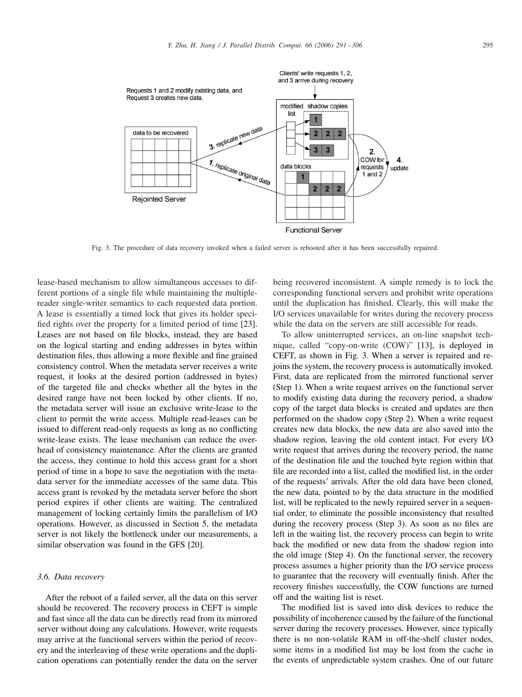

Fig. 3. The procedure of data recovery invoked when a failed server is rebooted after it has been successfully repaired.

lease-based mechanism to allow simultaneous accesses to different portions of a single file while maintaining the multiplereader single-writer semantics to each requested data portion. A lease is essentially a timed lock that gives its holder specified rights over the property for a limited period of time [\[23\].](#page-14-0) Leases are not based on file blocks, instead, they are based on the logical starting and ending addresses in bytes within destination files, thus allowing a more flexible and fine grained consistency control. When the metadata server receives a write request, it looks at the desired portion (addressed in bytes) of the targeted file and checks whether all the bytes in the desired range have not been locked by other clients. If no, the metadata server will issue an exclusive write-lease to the client to permit the write access. Multiple read-leases can be issued to different read-only requests as long as no conflicting write-lease exists. The lease mechanism can reduce the overhead of consistency maintenance. After the clients are granted the access, they continue to hold this access grant for a short period of time in a hope to save the negotiation with the metadata server for the immediate accesses of the same data. This access grant is revoked by the metadata server before the short period expires if other clients are waiting. The centralized management of locking certainly limits the parallelism of I/O operations. However, as discussed in Section [5,](#page-6-0) the metadata server is not likely the bottleneck under our measurements, a similar observation was found in the GFS [\[20\].](#page-14-0)

### *3.6. Data recovery*

After the reboot of a failed server, all the data on this server should be recovered. The recovery process in CEFT is simple and fast since all the data can be directly read from its mirrored server without doing any calculations. However, write requests may arrive at the functional servers within the period of recovery and the interleaving of these write operations and the duplication operations can potentially render the data on the server being recovered inconsistent. A simple remedy is to lock the corresponding functional servers and prohibit write operations until the duplication has finished. Clearly, this will make the I/O services unavailable for writes during the recovery process while the data on the servers are still accessible for reads.

To allow uninterrupted services, an on-line snapshot technique, called "copy-on-write (COW)" [\[13\],](#page-14-0) is deployed in CEFT, as shown in Fig. 3. When a server is repaired and rejoins the system, the recovery process is automatically invoked. First, data are replicated from the mirrored functional server (Step 1). When a write request arrives on the functional server to modify existing data during the recovery period, a shadow copy of the target data blocks is created and updates are then performed on the shadow copy (Step 2). When a write request creates new data blocks, the new data are also saved into the shadow region, leaving the old content intact. For every I/O write request that arrives during the recovery period, the name of the destination file and the touched byte region within that file are recorded into a list, called the modified list, in the order of the requests' arrivals. After the old data have been cloned, the new data, pointed to by the data structure in the modified list, will be replicated to the newly repaired server in a sequential order, to eliminate the possible inconsistency that resulted during the recovery process (Step 3). As soon as no files are left in the waiting list, the recovery process can begin to write back the modified or new data from the shadow region into the old image (Step 4). On the functional server, the recovery process assumes a higher priority than the I/O service process to guarantee that the recovery will eventually finish. After the recovery finishes successfully, the COW functions are turned off and the waiting list is reset.

The modified list is saved into disk devices to reduce the possibility of incoherence caused by the failure of the functional server during the recovery processes. However, since typically there is no non-volatile RAM in off-the-shelf cluster nodes, some items in a modified list may be lost from the cache in the events of unpredictable system crashes. One of our future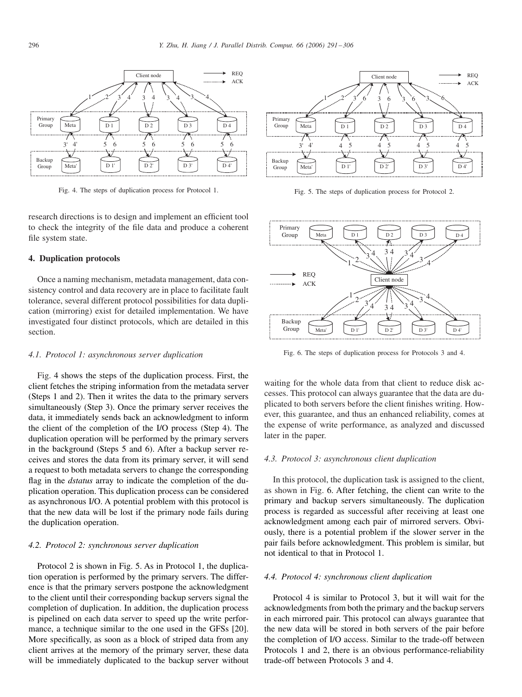<span id="page-5-0"></span>

Fig. 4. The steps of duplication process for Protocol 1.

research directions is to design and implement an efficient tool to check the integrity of the file data and produce a coherent file system state.

# **4. Duplication protocols**

Once a naming mechanism, metadata management, data consistency control and data recovery are in place to facilitate fault tolerance, several different protocol possibilities for data duplication (mirroring) exist for detailed implementation. We have investigated four distinct protocols, which are detailed in this section.

# *4.1. Protocol 1: asynchronous server duplication*

Fig. 4 shows the steps of the duplication process. First, the client fetches the striping information from the metadata server (Steps 1 and 2). Then it writes the data to the primary servers simultaneously (Step 3). Once the primary server receives the data, it immediately sends back an acknowledgment to inform the client of the completion of the I/O process (Step 4). The duplication operation will be performed by the primary servers in the background (Steps 5 and 6). After a backup server receives and stores the data from its primary server, it will send a request to both metadata servers to change the corresponding flag in the *dstatus* array to indicate the completion of the duplication operation. This duplication process can be considered as asynchronous I/O. A potential problem with this protocol is that the new data will be lost if the primary node fails during the duplication operation.

#### *4.2. Protocol 2: synchronous server duplication*

Protocol 2 is shown in Fig. 5. As in Protocol 1, the duplication operation is performed by the primary servers. The difference is that the primary servers postpone the acknowledgment to the client until their corresponding backup servers signal the completion of duplication. In addition, the duplication process is pipelined on each data server to speed up the write performance, a technique similar to the one used in the GFSs [\[20\].](#page-14-0) More specifically, as soon as a block of striped data from any client arrives at the memory of the primary server, these data will be immediately duplicated to the backup server without



Fig. 5. The steps of duplication process for Protocol 2.



Fig. 6. The steps of duplication process for Protocols 3 and 4.

waiting for the whole data from that client to reduce disk accesses. This protocol can always guarantee that the data are duplicated to both servers before the client finishes writing. However, this guarantee, and thus an enhanced reliability, comes at the expense of write performance, as analyzed and discussed later in the paper.

# *4.3. Protocol 3: asynchronous client duplication*

In this protocol, the duplication task is assigned to the client, as shown in Fig. 6. After fetching, the client can write to the primary and backup servers simultaneously. The duplication process is regarded as successful after receiving at least one acknowledgment among each pair of mirrored servers. Obviously, there is a potential problem if the slower server in the pair fails before acknowledgment. This problem is similar, but not identical to that in Protocol 1.

#### *4.4. Protocol 4: synchronous client duplication*

Protocol 4 is similar to Protocol 3, but it will wait for the acknowledgments from both the primary and the backup servers in each mirrored pair. This protocol can always guarantee that the new data will be stored in both servers of the pair before the completion of I/O access. Similar to the trade-off between Protocols 1 and 2, there is an obvious performance-reliability trade-off between Protocols 3 and 4.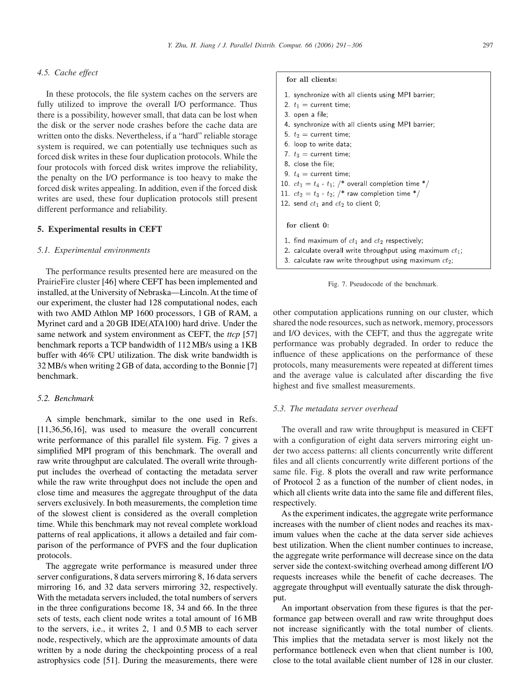# <span id="page-6-0"></span>*4.5. Cache effect*

In these protocols, the file system caches on the servers are fully utilized to improve the overall I/O performance. Thus there is a possibility, however small, that data can be lost when the disk or the server node crashes before the cache data are written onto the disks. Nevertheless, if a "hard" reliable storage system is required, we can potentially use techniques such as forced disk writes in these four duplication protocols. While the four protocols with forced disk writes improve the reliability, the penalty on the I/O performance is too heavy to make the forced disk writes appealing. In addition, even if the forced disk writes are used, these four duplication protocols still present different performance and reliability.

#### **5. Experimental results in CEFT**

#### *5.1. Experimental environments*

The performance results presented here are measured on the PrairieFire cluster [\[46\]](#page-14-0) where CEFT has been implemented and installed, at the University of Nebraska—Lincoln. At the time of our experiment, the cluster had 128 computational nodes, each with two AMD Athlon MP 1600 processors, 1 GB of RAM, a Myrinet card and a 20 GB IDE(ATA100) hard drive. Under the same network and system environment as CEFT, the *ttcp* [\[57\]](#page-15-0) benchmark reports a TCP bandwidth of 112 MB/s using a 1KB buffer with 46% CPU utilization. The disk write bandwidth is 32 MB/s when writing 2 GB of data, according to the Bonnie [\[7\]](#page-14-0) benchmark.

# *5.2. Benchmark*

A simple benchmark, similar to the one used in Refs. [\[11,36,](#page-14-0)[56,](#page-15-0)[16\],](#page-14-0) was used to measure the overall concurrent write performance of this parallel file system. Fig. 7 gives a simplified MPI program of this benchmark. The overall and raw write throughput are calculated. The overall write throughput includes the overhead of contacting the metadata server while the raw write throughput does not include the open and close time and measures the aggregate throughput of the data servers exclusively. In both measurements, the completion time of the slowest client is considered as the overall completion time. While this benchmark may not reveal complete workload patterns of real applications, it allows a detailed and fair comparison of the performance of PVFS and the four duplication protocols.

The aggregate write performance is measured under three server configurations, 8 data servers mirroring 8, 16 data servers mirroring 16, and 32 data servers mirroring 32, respectively. With the metadata servers included, the total numbers of servers in the three configurations become 18, 34 and 66. In the three sets of tests, each client node writes a total amount of 16 MB to the servers, i.e., it writes 2, 1 and 0.5 MB to each server node, respectively, which are the approximate amounts of data written by a node during the checkpointing process of a real astrophysics code [\[51\].](#page-14-0) During the measurements, there were

# for all clients:

- 1. synchronize with all clients using MPI barrier;
- 2.  $t_1$  = current time;
- 3. open a file;
- 4. synchronize with all clients using MPI barrier;
- 5.  $t_2$  = current time;
- 6. loop to write data;
- 7.  $t_3$  = current time;
- 8. close the file;
- 9.  $t_4$  = current time;
- 10.  $ct_1 = t_4 t_1$ ; /\* overall completion time \*/
- 11.  $ct_2 = t_3 t_2$ ; /\* raw completion time \*/
- 12. send  $ct_1$  and  $ct_2$  to client 0;

#### for client 0:

- 1. find maximum of  $ct_1$  and  $ct_2$  respectively;
- 2. calculate overall write throughput using maximum  $ct_1$ ;
- 3. calculate raw write throughput using maximum  $ct_2$ ;



other computation applications running on our cluster, which shared the node resources, such as network, memory, processors and I/O devices, with the CEFT, and thus the aggregate write performance was probably degraded. In order to reduce the influence of these applications on the performance of these protocols, many measurements were repeated at different times and the average value is calculated after discarding the five highest and five smallest measurements.

## *5.3. The metadata server overhead*

The overall and raw write throughput is measured in CEFT with a configuration of eight data servers mirroring eight under two access patterns: all clients concurrently write different files and all clients concurrently write different portions of the same file. Fig. [8](#page-7-0) plots the overall and raw write performance of Protocol 2 as a function of the number of client nodes, in which all clients write data into the same file and different files, respectively.

As the experiment indicates, the aggregate write performance increases with the number of client nodes and reaches its maximum values when the cache at the data server side achieves best utilization. When the client number continues to increase, the aggregate write performance will decrease since on the data server side the context-switching overhead among different I/O requests increases while the benefit of cache decreases. The aggregate throughput will eventually saturate the disk throughput.

An important observation from these figures is that the performance gap between overall and raw write throughput does not increase significantly with the total number of clients. This implies that the metadata server is most likely not the performance bottleneck even when that client number is 100, close to the total available client number of 128 in our cluster.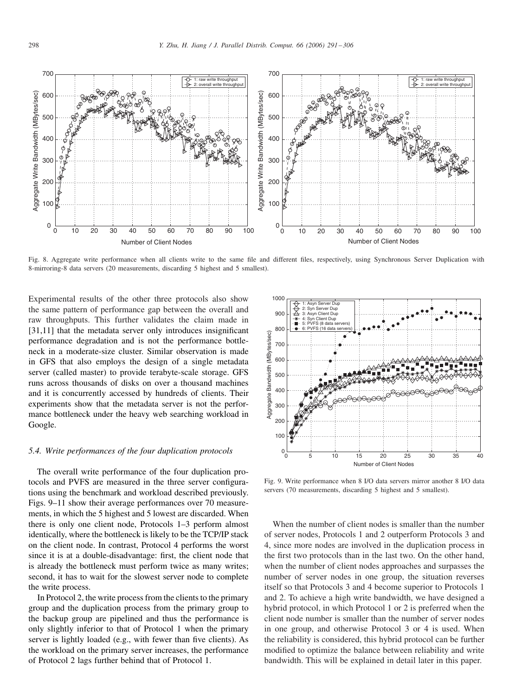<span id="page-7-0"></span>

Fig. 8. Aggregate write performance when all clients write to the same file and different files, respectively, using Synchronous Server Duplication with 8-mirroring-8 data servers (20 measurements, discarding 5 highest and 5 smallest).

Experimental results of the other three protocols also show the same pattern of performance gap between the overall and raw throughputs. This further validates the claim made in [\[31,11\]](#page-14-0) that the metadata server only introduces insignificant performance degradation and is not the performance bottleneck in a moderate-size cluster. Similar observation is made in GFS that also employs the design of a single metadata server (called master) to provide terabyte-scale storage. GFS runs across thousands of disks on over a thousand machines and it is concurrently accessed by hundreds of clients. Their experiments show that the metadata server is not the performance bottleneck under the heavy web searching workload in Google.

# *5.4. Write performances of the four duplication protocols*

The overall write performance of the four duplication protocols and PVFS are measured in the three server configurations using the benchmark and workload described previously. Figs. 9[–11](#page-8-0) show their average performances over 70 measurements, in which the 5 highest and 5 lowest are discarded. When there is only one client node, Protocols 1–3 perform almost identically, where the bottleneck is likely to be the TCP/IP stack on the client node. In contrast, Protocol 4 performs the worst since it is at a double-disadvantage: first, the client node that is already the bottleneck must perform twice as many writes; second, it has to wait for the slowest server node to complete the write process.

In Protocol 2, the write process from the clients to the primary group and the duplication process from the primary group to the backup group are pipelined and thus the performance is only slightly inferior to that of Protocol 1 when the primary server is lightly loaded (e.g., with fewer than five clients). As the workload on the primary server increases, the performance of Protocol 2 lags further behind that of Protocol 1.



Fig. 9. Write performance when 8 I/O data servers mirror another 8 I/O data servers (70 measurements, discarding 5 highest and 5 smallest).

When the number of client nodes is smaller than the number of server nodes, Protocols 1 and 2 outperform Protocols 3 and 4, since more nodes are involved in the duplication process in the first two protocols than in the last two. On the other hand, when the number of client nodes approaches and surpasses the number of server nodes in one group, the situation reverses itself so that Protocols 3 and 4 become superior to Protocols 1 and 2. To achieve a high write bandwidth, we have designed a hybrid protocol, in which Protocol 1 or 2 is preferred when the client node number is smaller than the number of server nodes in one group, and otherwise Protocol 3 or 4 is used. When the reliability is considered, this hybrid protocol can be further modified to optimize the balance between reliability and write bandwidth. This will be explained in detail later in this paper.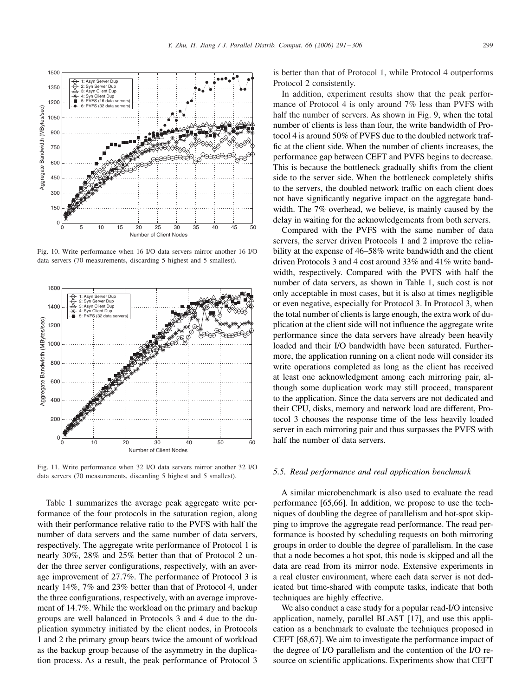Fig. 10. Write performance when 16 I/O data servers mirror another 16 I/O data servers (70 measurements, discarding 5 highest and 5 smallest).

Fig. 11. Write performance when 32 I/O data servers mirror another 32 I/O data servers (70 measurements, discarding 5 highest and 5 smallest).

Table [1](#page-9-0) summarizes the average peak aggregate write performance of the four protocols in the saturation region, along with their performance relative ratio to the PVFS with half the number of data servers and the same number of data servers, respectively. The aggregate write performance of Protocol 1 is nearly 30%, 28% and 25% better than that of Protocol 2 under the three server configurations, respectively, with an average improvement of 27.7%. The performance of Protocol 3 is nearly 14%, 7% and 23% better than that of Protocol 4, under the three configurations, respectively, with an average improvement of 14.7%. While the workload on the primary and backup groups are well balanced in Protocols 3 and 4 due to the duplication symmetry initiated by the client nodes, in Protocols 1 and 2 the primary group bears twice the amount of workload as the backup group because of the asymmetry in the duplication process. As a result, the peak performance of Protocol 3 is better than that of Protocol 1, while Protocol 4 outperforms Protocol 2 consistently.

In addition, experiment results show that the peak performance of Protocol 4 is only around 7% less than PVFS with half the number of servers. As shown in Fig. [9,](#page-7-0) when the total number of clients is less than four, the write bandwidth of Protocol 4 is around 50% of PVFS due to the doubled network traffic at the client side. When the number of clients increases, the performance gap between CEFT and PVFS begins to decrease. This is because the bottleneck gradually shifts from the client side to the server side. When the bottleneck completely shifts to the servers, the doubled network traffic on each client does not have significantly negative impact on the aggregate bandwidth. The 7% overhead, we believe, is mainly caused by the delay in waiting for the acknowledgements from both servers.

Compared with the PVFS with the same number of data servers, the server driven Protocols 1 and 2 improve the reliability at the expense of 46–58% write bandwidth and the client driven Protocols 3 and 4 cost around 33% and 41% write bandwidth, respectively. Compared with the PVFS with half the number of data servers, as shown in Table [1,](#page-9-0) such cost is not only acceptable in most cases, but it is also at times negligible or even negative, especially for Protocol 3. In Protocol 3, when the total number of clients is large enough, the extra work of duplication at the client side will not influence the aggregate write performance since the data servers have already been heavily loaded and their I/O bandwidth have been saturated. Furthermore, the application running on a client node will consider its write operations completed as long as the client has received at least one acknowledgment among each mirroring pair, although some duplication work may still proceed, transparent to the application. Since the data servers are not dedicated and their CPU, disks, memory and network load are different, Protocol 3 chooses the response time of the less heavily loaded server in each mirroring pair and thus surpasses the PVFS with half the number of data servers.

#### *5.5. Read performance and real application benchmark*

A similar microbenchmark is also used to evaluate the read performance [\[65,66\].](#page-15-0) In addition, we propose to use the techniques of doubling the degree of parallelism and hot-spot skipping to improve the aggregate read performance. The read performance is boosted by scheduling requests on both mirroring groups in order to double the degree of parallelism. In the case that a node becomes a hot spot, this node is skipped and all the data are read from its mirror node. Extensive experiments in a real cluster environment, where each data server is not dedicated but time-shared with compute tasks, indicate that both techniques are highly effective.

We also conduct a case study for a popular read-I/O intensive application, namely, parallel BLAST [\[17\],](#page-14-0) and use this application as a benchmark to evaluate the techniques proposed in CEFT [\[68,67\].](#page-15-0) We aim to investigate the performance impact of the degree of I/O parallelism and the contention of the I/O resource on scientific applications. Experiments show that CEFT



<span id="page-8-0"></span>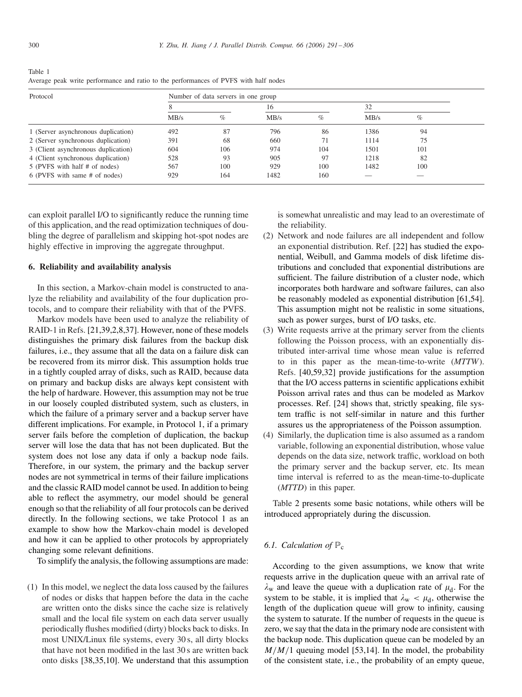<span id="page-9-0"></span>

| Table 1 |                                                                                      |  |
|---------|--------------------------------------------------------------------------------------|--|
|         | Average peak write performance and ratio to the performances of PVFS with half nodes |  |

| Protocol                            | Number of data servers in one group |     |      |     |      |      |  |
|-------------------------------------|-------------------------------------|-----|------|-----|------|------|--|
|                                     |                                     |     | 16   |     | 32   |      |  |
|                                     | MB/s                                | %   | MB/s | %   | MB/s | $\%$ |  |
| 1 (Server asynchronous duplication) | 492                                 | 87  | 796  | 86  | 1386 | 94   |  |
| 2 (Server synchronous duplication)  | 391                                 | 68  | 660  | 71  | 1114 | 75   |  |
| 3 (Client asynchronous duplication) | 604                                 | 106 | 974  | 104 | 1501 | 101  |  |
| 4 (Client synchronous duplication)  | 528                                 | 93  | 905  | 97  | 1218 | 82   |  |
| 5 (PVFS with half # of nodes)       | 567                                 | 100 | 929  | 100 | 1482 | 100  |  |
| 6 (PVFS with same # of nodes)       | 929                                 | 164 | 1482 | 160 |      |      |  |

can exploit parallel I/O to significantly reduce the running time of this application, and the read optimization techniques of doubling the degree of parallelism and skipping hot-spot nodes are highly effective in improving the aggregate throughput.

## **6. Reliability and availability analysis**

In this section, a Markov-chain model is constructed to analyze the reliability and availability of the four duplication protocols, and to compare their reliability with that of the PVFS.

Markov models have been used to analyze the reliability of RAID-1 in Refs. [\[21,39,](#page-14-0)[2,](#page-13-0)[8,37\].](#page-14-0) However, none of these models distinguishes the primary disk failures from the backup disk failures, i.e., they assume that all the data on a failure disk can be recovered from its mirror disk. This assumption holds true in a tightly coupled array of disks, such as RAID, because data on primary and backup disks are always kept consistent with the help of hardware. However, this assumption may not be true in our loosely coupled distributed system, such as clusters, in which the failure of a primary server and a backup server have different implications. For example, in Protocol 1, if a primary server fails before the completion of duplication, the backup server will lose the data that has not been duplicated. But the system does not lose any data if only a backup node fails. Therefore, in our system, the primary and the backup server nodes are not symmetrical in terms of their failure implications and the classic RAID model cannot be used. In addition to being able to reflect the asymmetry, our model should be general enough so that the reliability of all four protocols can be derived directly. In the following sections, we take Protocol 1 as an example to show how the Markov-chain model is developed and how it can be applied to other protocols by appropriately changing some relevant definitions.

To simplify the analysis, the following assumptions are made:

(1) In this model, we neglect the data loss caused by the failures of nodes or disks that happen before the data in the cache are written onto the disks since the cache size is relatively small and the local file system on each data server usually periodically flushes modified (dirty) blocks back to disks. In most UNIX/Linux file systems, every 30 s, all dirty blocks that have not been modified in the last 30 s are written back onto disks [\[38,35,10\].](#page-14-0) We understand that this assumption

is somewhat unrealistic and may lead to an overestimate of the reliability.

- (2) Network and node failures are all independent and follow an exponential distribution. Ref. [\[22\]](#page-14-0) has studied the exponential, Weibull, and Gamma models of disk lifetime distributions and concluded that exponential distributions are sufficient. The failure distribution of a cluster node, which incorporates both hardware and software failures, can also be reasonably modeled as exponential distribution [\[61,54\].](#page-15-0) This assumption might not be realistic in some situations, such as power surges, burst of I/O tasks, etc.
- (3) Write requests arrive at the primary server from the clients following the Poisson process, with an exponentially distributed inter-arrival time whose mean value is referred to in this paper as the mean-time-to-write (*MTTW*). Refs. [\[40,](#page-14-0)[59,](#page-15-0)[32\]](#page-14-0) provide justifications for the assumption that the I/O access patterns in scientific applications exhibit Poisson arrival rates and thus can be modeled as Markov processes. Ref. [\[24\]](#page-14-0) shows that, strictly speaking, file system traffic is not self-similar in nature and this further assures us the appropriateness of the Poisson assumption.
- (4) Similarly, the duplication time is also assumed as a random variable, following an exponential distribution, whose value depends on the data size, network traffic, workload on both the primary server and the backup server, etc. Its mean time interval is referred to as the mean-time-to-duplicate (*MTTD*) in this paper.

Table [2](#page-10-0) presents some basic notations, while others will be introduced appropriately during the discussion.

# *6.1. Calculation of* P<sup>c</sup>

According to the given assumptions, we know that write requests arrive in the duplication queue with an arrival rate of  $\lambda_w$  and leave the queue with a duplication rate of  $\mu_d$ . For the system to be stable, it is implied that  $\lambda_w < \mu_d$ , otherwise the length of the duplication queue will grow to infinity, causing the system to saturate. If the number of requests in the queue is zero, we say that the data in the primary node are consistent with the backup node. This duplication queue can be modeled by an  $M/M/1$  queuing model [\[53](#page-15-0)[,14\].](#page-14-0) In the model, the probability of the consistent state, i.e., the probability of an empty queue,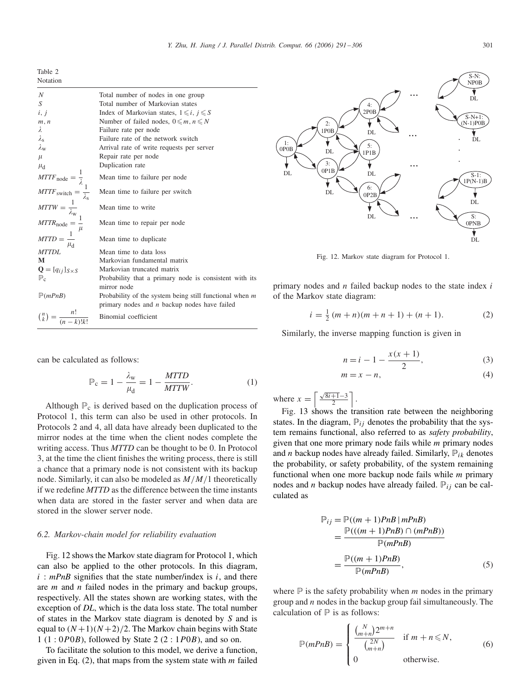<span id="page-10-0"></span>Table 2 Notation

| $\boldsymbol{N}$                                                                                                                                                                                   | Total number of nodes in one group                                    |
|----------------------------------------------------------------------------------------------------------------------------------------------------------------------------------------------------|-----------------------------------------------------------------------|
| $\boldsymbol{S}$                                                                                                                                                                                   | Total number of Markovian states                                      |
| i, j                                                                                                                                                                                               | Index of Markovian states, $1 \leq i, j \leq S$                       |
| m, n                                                                                                                                                                                               | Number of failed nodes, $0 \leq m, n \leq N$                          |
| λ                                                                                                                                                                                                  | Failure rate per node                                                 |
| $\lambda_{\rm s}$                                                                                                                                                                                  | Failure rate of the network switch                                    |
| $\lambda_{\rm w}$                                                                                                                                                                                  | Arrival rate of write requests per server                             |
| $\mu$                                                                                                                                                                                              | Repair rate per node                                                  |
| $\mu_{\rm d}$                                                                                                                                                                                      | Duplication rate                                                      |
| MTTF <sub>node</sub> = $\frac{1}{\lambda}$<br>MTTF <sub>switch</sub> = $\frac{1}{\lambda_s}$<br>MTTW = $\frac{1}{\lambda_w}$<br>MTTR <sub>node</sub> = $\frac{1}{\mu}$<br>MTTD = $\frac{1}{\mu_s}$ | Mean time to failure per node                                         |
|                                                                                                                                                                                                    | Mean time to failure per switch                                       |
|                                                                                                                                                                                                    | Mean time to write                                                    |
|                                                                                                                                                                                                    | Mean time to repair per node                                          |
| $\mu_{\rm d}$                                                                                                                                                                                      | Mean time to duplicate                                                |
| <b>MTTDL</b>                                                                                                                                                                                       | Mean time to data loss                                                |
| M                                                                                                                                                                                                  | Markovian fundamental matrix                                          |
| $\mathbf{Q} = [q_{ij}]_{S \times S}$                                                                                                                                                               | Markovian truncated matrix                                            |
| $\mathbb{P}_c$                                                                                                                                                                                     | Probability that a primary node is consistent with its<br>mirror node |
| $\mathbb{P}(mPnB)$                                                                                                                                                                                 | Probability of the system being still functional when $m$             |
|                                                                                                                                                                                                    | primary nodes and $n$ backup nodes have failed                        |
| $\binom{n}{k} = \frac{n!}{(n-k)!k!}$                                                                                                                                                               | Binomial coefficient                                                  |

can be calculated as follows:

$$
\mathbb{P}_{\rm c} = 1 - \frac{\lambda_{\rm w}}{\mu_{\rm d}} = 1 - \frac{MTID}{MTTW}.
$$
 (1)

Although  $\mathbb{P}_c$  is derived based on the duplication process of Protocol 1, this term can also be used in other protocols. In Protocols 2 and 4, all data have already been duplicated to the mirror nodes at the time when the client nodes complete the writing access. Thus *MTTD* can be thought to be 0. In Protocol 3, at the time the client finishes the writing process, there is still a chance that a primary node is not consistent with its backup node. Similarly, it can also be modeled as  $M/M/1$  theoretically if we redefine *MTTD* as the difference between the time instants when data are stored in the faster server and when data are stored in the slower server node.

# *6.2. Markov-chain model for reliability evaluation*

Fig. 12 shows the Markov state diagram for Protocol 1, which can also be applied to the other protocols. In this diagram,  $i : mPnB$  signifies that the state number/index is i, and there are  $m$  and  $n$  failed nodes in the primary and backup groups, respectively. All the states shown are working states, with the exception of *DL*, which is the data loss state. The total number of states in the Markov state diagram is denoted by S and is equal to  $(N+1)(N+2)/2$ . The Markov chain begins with State  $1 (1: 0P0B)$ , followed by State  $2 (2: 1P0B)$ , and so on.

To facilitate the solution to this model, we derive a function, given in Eq.  $(2)$ , that maps from the system state with m failed



Fig. 12. Markov state diagram for Protocol 1.

primary nodes and  $n$  failed backup nodes to the state index  $i$ of the Markov state diagram:

$$
i = \frac{1}{2}(m+n)(m+n+1) + (n+1). \tag{2}
$$

Similarly, the inverse mapping function is given in

$$
n = i - 1 - \frac{x(x+1)}{2},
$$
 (3)

$$
m = x - n,\tag{4}
$$

where  $x = \left\lceil \frac{\sqrt{8i+1}-3}{2} \right\rceil$ .

Fig. [13](#page-11-0) shows the transition rate between the neighboring states. In the diagram,  $\mathbb{P}_{ij}$  denotes the probability that the system remains functional, also referred to as *safety probability*, given that one more primary node fails while  $m$  primary nodes and *n* backup nodes have already failed. Similarly,  $\mathbb{P}_{ik}$  denotes the probability, or safety probability, of the system remaining functional when one more backup node fails while  $m$  primary nodes and *n* backup nodes have already failed.  $P_{ij}$  can be calculated as

$$
\mathbb{P}_{ij} = \mathbb{P}((m+1)PnB | mPnB)
$$
  
= 
$$
\frac{\mathbb{P}(((m+1)PnB) \cap (mPnB))}{\mathbb{P}(mPnB)}
$$
  
= 
$$
\frac{\mathbb{P}((m+1)PnB)}{\mathbb{P}(mPnB)},
$$
 (5)

where  $\mathbb P$  is the safety probability when m nodes in the primary group and  $n$  nodes in the backup group fail simultaneously. The calculation of  $P$  is as follows:

$$
\mathbb{P}(mPnB) = \begin{cases} \frac{\binom{N}{m+n}2^{m+n}}{\binom{2N}{m+n}} & \text{if } m+n \leq N, \\ 0 & \text{otherwise.} \end{cases}
$$
(6)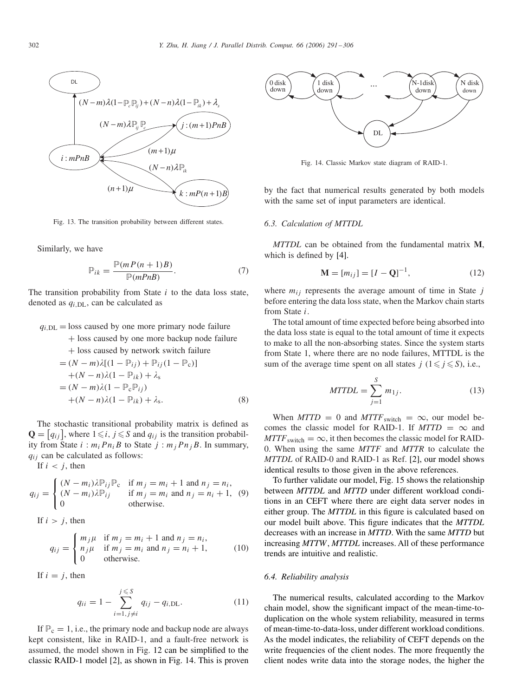<span id="page-11-0"></span>

Fig. 13. The transition probability between different states.

Similarly, we have

$$
\mathbb{P}_{ik} = \frac{\mathbb{P}(mP(n+1)B)}{\mathbb{P}(mPnB)}.\tag{7}
$$

The transition probability from State  $i$  to the data loss state, denoted as  $q_i$  DL, can be calculated as

#### $q_{i,DL}$  = loss caused by one more primary node failure

+ loss caused by one more backup node failure

+ loss caused by network switch failure

$$
= (N - m)\lambda[(1 - \mathbb{P}_{ij}) + \mathbb{P}_{ij}(1 - \mathbb{P}_{c})]
$$
  
+  $(N - n)\lambda(1 - \mathbb{P}_{ik}) + \lambda_s$   
=  $(N - m)\lambda(1 - \mathbb{P}_{c}\mathbb{P}_{ij})$   
+  $(N - n)\lambda(1 - \mathbb{P}_{ik}) + \lambda_s$ . (8)

The stochastic transitional probability matrix is defined as  $\mathbf{Q} = [q_{ij}]$ , where  $1 \le i, j \le S$  and  $q_{ij}$  is the transition probability from State  $i : m_i P n_i B$  to State  $j : m_j P n_j B$ . In summary,  $q_{ij}$  can be calculated as follows:

If  $i < j$ , then

$$
q_{ij} = \begin{cases} (N - m_i)\lambda \mathbb{P}_{ij} \mathbb{P}_c & \text{if } m_j = m_i + 1 \text{ and } n_j = n_i, \\ (N - m_i)\lambda \mathbb{P}_{ij} & \text{if } m_j = m_i \text{ and } n_j = n_i + 1, \\ 0 & \text{otherwise.} \end{cases}
$$
 (9)

If  $i > j$ , then

$$
q_{ij} = \begin{cases} m_j \mu & \text{if } m_j = m_i + 1 \text{ and } n_j = n_i, \\ n_j \mu & \text{if } m_j = m_i \text{ and } n_j = n_i + 1, \\ 0 & \text{otherwise.} \end{cases}
$$
(10)

If  $i = j$ , then

$$
q_{ii} = 1 - \sum_{i=1, j \neq i}^{j \leq S} q_{ij} - q_{i, \text{DL}}.
$$
 (11)

If  $P_c = 1$ , i.e., the primary node and backup node are always kept consistent, like in RAID-1, and a fault-free network is assumed, the model shown in Fig. [12](#page-10-0) can be simplified to the classic RAID-1 model [\[2\],](#page-13-0) as shown in Fig. 14. This is proven



Fig. 14. Classic Markov state diagram of RAID-1.

by the fact that numerical results generated by both models with the same set of input parameters are identical.

# *6.3. Calculation of MTTDL*

*MTTDL* can be obtained from the fundamental matrix **M**, which is defined by [\[4\].](#page-14-0)

$$
\mathbf{M} = [m_{ij}] = [I - \mathbf{Q}]^{-1},\tag{12}
$$

where  $m_{ij}$  represents the average amount of time in State  $j$ before entering the data loss state, when the Markov chain starts from State i.

The total amount of time expected before being absorbed into the data loss state is equal to the total amount of time it expects to make to all the non-absorbing states. Since the system starts from State 1, where there are no node failures, MTTDL is the sum of the average time spent on all states  $j \in \{1 \leq j \leq S\}$ , i.e.,

$$
MTTDL = \sum_{j=1}^{S} m_{1j}.
$$
 (13)

When  $MTTD = 0$  and  $MTTF_{switch} = \infty$ , our model becomes the classic model for RAID-1. If  $MTTD = \infty$  and  $MTTF<sub>switch</sub> = \infty$ , it then becomes the classic model for RAID-0. When using the same *MTTF* and *MTTR* to calculate the *MTTDL* of RAID-0 and RAID-1 as Ref. [\[2\],](#page-13-0) our model shows identical results to those given in the above references.

To further validate our model, Fig. [15](#page-12-0) shows the relationship between *MTTDL* and *MTTD* under different workload conditions in an CEFT where there are eight data server nodes in either group. The *MTTDL* in this figure is calculated based on our model built above. This figure indicates that the *MTTDL* decreases with an increase in *MTTD*. With the same *MTTD* but increasing *MTTW*, *MTTDL* increases. All of these performance trends are intuitive and realistic.

#### *6.4. Reliability analysis*

The numerical results, calculated according to the Markov chain model, show the significant impact of the mean-time-toduplication on the whole system reliability, measured in terms of mean-time-to-data-loss, under different workload conditions. As the model indicates, the reliability of CEFT depends on the write frequencies of the client nodes. The more frequently the client nodes write data into the storage nodes, the higher the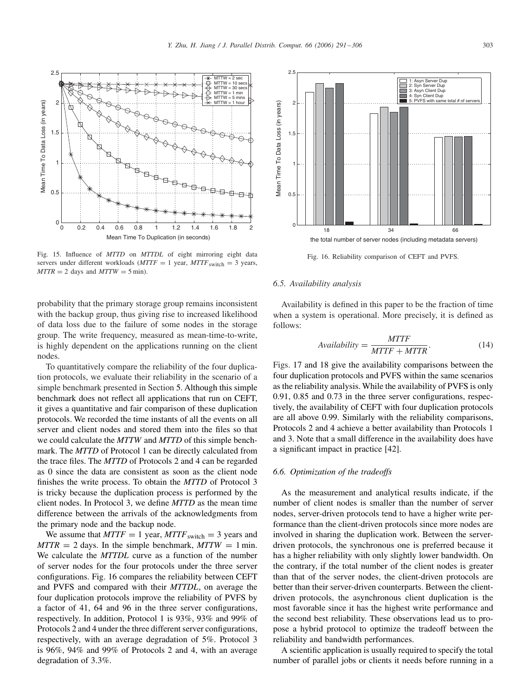<span id="page-12-0"></span>

Fig. 15. Influence of *MTTD* on *MTTDL* of eight mirroring eight data servers under different workloads  $(MTTF = 1$  year,  $MTTF$ <sub>switch</sub> = 3 years,  $MTTR = 2$  days and  $MTTW = 5$  min).

probability that the primary storage group remains inconsistent with the backup group, thus giving rise to increased likelihood of data loss due to the failure of some nodes in the storage group. The write frequency, measured as mean-time-to-write, is highly dependent on the applications running on the client nodes.

To quantitatively compare the reliability of the four duplication protocols, we evaluate their reliability in the scenario of a simple benchmark presented in Section [5.](#page-6-0) Although this simple benchmark does not reflect all applications that run on CEFT, it gives a quantitative and fair comparison of these duplication protocols. We recorded the time instants of all the events on all server and client nodes and stored them into the files so that we could calculate the *MTTW* and *MTTD* of this simple benchmark. The *MTTD* of Protocol 1 can be directly calculated from the trace files. The *MTTD* of Protocols 2 and 4 can be regarded as 0 since the data are consistent as soon as the client node finishes the write process. To obtain the *MTTD* of Protocol 3 is tricky because the duplication process is performed by the client nodes. In Protocol 3, we define *MTTD* as the mean time difference between the arrivals of the acknowledgments from the primary node and the backup node.

We assume that  $MTTF = 1$  year,  $MTTF$ <sub>switch</sub> = 3 years and  $MTTR = 2$  days. In the simple benchmark,  $MTTW = 1$  min. We calculate the *MTTDL* curve as a function of the number of server nodes for the four protocols under the three server configurations. Fig. 16 compares the reliability between CEFT and PVFS and compared with their *MTTDL*, on average the four duplication protocols improve the reliability of PVFS by a factor of 41, 64 and 96 in the three server configurations, respectively. In addition, Protocol 1 is 93%, 93% and 99% of Protocols 2 and 4 under the three different server configurations, respectively, with an average degradation of 5%. Protocol 3 is 96%, 94% and 99% of Protocols 2 and 4, with an average degradation of 3.3%.



the total number of server nodes (including metadata servers)

#### Fig. 16. Reliability comparison of CEFT and PVFS.

# *6.5. Availability analysis*

Availability is defined in this paper to be the fraction of time when a system is operational. More precisely, it is defined as follows:

$$
Availableility = \frac{MTTF}{MTTF + MTTR}.\tag{14}
$$

Figs. [17](#page-13-0) and [18](#page-13-0) give the availability comparisons between the four duplication protocols and PVFS within the same scenarios as the reliability analysis. While the availability of PVFS is only 0.91, 0.85 and 0.73 in the three server configurations, respectively, the availability of CEFT with four duplication protocols are all above 0.99. Similarly with the reliability comparisons, Protocols 2 and 4 achieve a better availability than Protocols 1 and 3. Note that a small difference in the availability does have a significant impact in practice [\[42\].](#page-14-0)

#### *6.6. Optimization of the tradeoffs*

As the measurement and analytical results indicate, if the number of client nodes is smaller than the number of server nodes, server-driven protocols tend to have a higher write performance than the client-driven protocols since more nodes are involved in sharing the duplication work. Between the serverdriven protocols, the synchronous one is preferred because it has a higher reliability with only slightly lower bandwidth. On the contrary, if the total number of the client nodes is greater than that of the server nodes, the client-driven protocols are better than their server-driven counterparts. Between the clientdriven protocols, the asynchronous client duplication is the most favorable since it has the highest write performance and the second best reliability. These observations lead us to propose a hybrid protocol to optimize the tradeoff between the reliability and bandwidth performances.

A scientific application is usually required to specify the total number of parallel jobs or clients it needs before running in a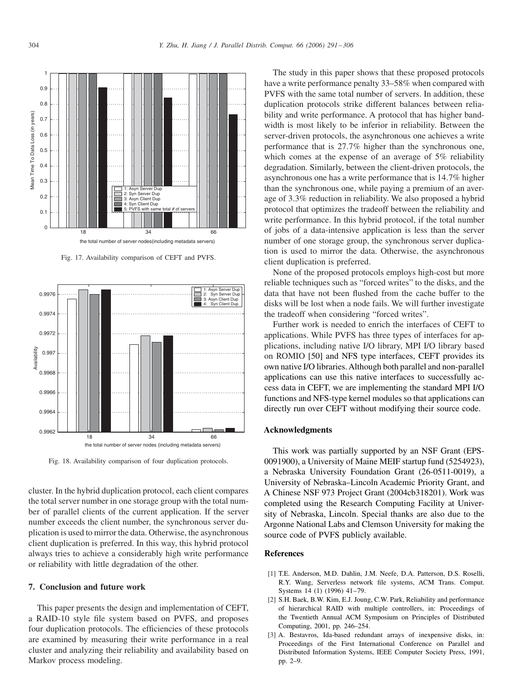<span id="page-13-0"></span>

Fig. 17. Availability comparison of CEFT and PVFS.



Fig. 18. Availability comparison of four duplication protocols.

cluster. In the hybrid duplication protocol, each client compares the total server number in one storage group with the total number of parallel clients of the current application. If the server number exceeds the client number, the synchronous server duplication is used to mirror the data. Otherwise, the asynchronous client duplication is preferred. In this way, this hybrid protocol always tries to achieve a considerably high write performance or reliability with little degradation of the other.

### **7. Conclusion and future work**

This paper presents the design and implementation of CEFT, a RAID-10 style file system based on PVFS, and proposes four duplication protocols. The efficiencies of these protocols are examined by measuring their write performance in a real cluster and analyzing their reliability and availability based on Markov process modeling.

The study in this paper shows that these proposed protocols have a write performance penalty 33–58% when compared with PVFS with the same total number of servers. In addition, these duplication protocols strike different balances between reliability and write performance. A protocol that has higher bandwidth is most likely to be inferior in reliability. Between the server-driven protocols, the asynchronous one achieves a write performance that is 27.7% higher than the synchronous one, which comes at the expense of an average of 5% reliability degradation. Similarly, between the client-driven protocols, the asynchronous one has a write performance that is 14.7% higher than the synchronous one, while paying a premium of an average of 3.3% reduction in reliability. We also proposed a hybrid protocol that optimizes the tradeoff between the reliability and write performance. In this hybrid protocol, if the total number of jobs of a data-intensive application is less than the server number of one storage group, the synchronous server duplication is used to mirror the data. Otherwise, the asynchronous client duplication is preferred.

None of the proposed protocols employs high-cost but more reliable techniques such as "forced writes" to the disks, and the data that have not been flushed from the cache buffer to the disks will be lost when a node fails. We will further investigate the tradeoff when considering "forced writes".

Further work is needed to enrich the interfaces of CEFT to applications. While PVFS has three types of interfaces for applications, including native I/O library, MPI I/O library based on ROMIO [\[50\]](#page-14-0) and NFS type interfaces, CEFT provides its own native I/O libraries. Although both parallel and non-parallel applications can use this native interfaces to successfully access data in CEFT, we are implementing the standard MPI I/O functions and NFS-type kernel modules so that applications can directly run over CEFT without modifying their source code.

## **Acknowledgments**

This work was partially supported by an NSF Grant (EPS-0091900), a University of Maine MEIF startup fund (5254923), a Nebraska University Foundation Grant (26-0511-0019), a University of Nebraska–Lincoln Academic Priority Grant, and A Chinese NSF 973 Project Grant (2004cb318201). Work was completed using the Research Computing Facility at University of Nebraska, Lincoln. Special thanks are also due to the Argonne National Labs and Clemson University for making the source code of PVFS publicly available.

# References

- [1] T.E. Anderson, M.D. Dahlin, J.M. Neefe, D.A. Patterson, D.S. Roselli, R.Y. Wang, Serverless network file systems, ACM Trans. Comput. Systems 14 (1) (1996) 41–79.
- [2] S.H. Baek, B.W. Kim, E.J. Joung, C.W. Park, Reliability and performance of hierarchical RAID with multiple controllers, in: Proceedings of the Twentieth Annual ACM Symposium on Principles of Distributed Computing, 2001, pp. 246–254.
- [3] A. Bestavros, Ida-based redundant arrays of inexpensive disks, in: Proceedings of the First International Conference on Parallel and Distributed Information Systems, IEEE Computer Society Press, 1991, pp. 2–9.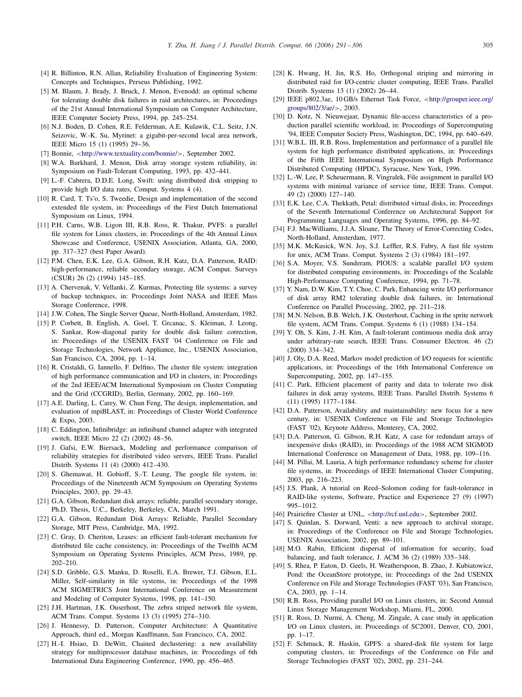- <span id="page-14-0"></span>[4] R. Billinton, R.N. Allan, Reliability Evaluation of Engineering System: Concepts and Techniques, Perseus Publishing, 1992.
- [5] M. Blaum, J. Brady, J. Bruck, J. Menon, Evenodd: an optimal scheme for tolerating double disk failures in raid architectures, in: Proceedings of the 21st Annual International Symposium on Computer Architecture, IEEE Computer Society Press, 1994, pp. 245–254.
- [6] N.J. Boden, D. Cohen, R.E. Felderman, A.E. Kulawik, C.L. Seitz, J.N. Seizovic, W.-K. Su, Myrinet: a gigabit-per-second local area network, IEEE Micro 15 (1) (1995) 29–36.
- [7] Bonnie, <<http://www.textuality.com/bonnie/>>, September 2002.
- [8] W.A. Burkhard, J. Menon, Disk array storage system reliability, in: Symposium on Fault-Tolerant Computing, 1993, pp. 432–441.
- [9] L.-F. Cabrera, D.D.E. Long, Swift: using distributed disk stripping to provide high I/O data rates, Comput. Systems 4 (4).
- [10] R. Card, T. Ts'o, S. Tweedie, Design and implementation of the second extended file system, in: Proceedings of the First Dutch International Symposium on Linux, 1994.
- [11] P.H. Carns, W.B. Ligon III, R.B. Ross, R. Thakur, PVFS: a parallel file system for Linux clusters, in: Proceedings of the 4th Annual Linux Showcase and Conference, USENIX Association, Atlanta, GA, 2000, pp. 317–327 (best Paper Award).
- [12] P.M. Chen, E.K. Lee, G.A. Gibson, R.H. Katz, D.A. Patterson, RAID: high-performance, reliable secondary storage, ACM Comput. Surveys (CSUR) 26 (2) (1994) 145–185.
- [13] A. Chervenak, V. Vellanki, Z. Kurmas, Protecting file systems: a survey of backup techniques, in: Proceedings Joint NASA and IEEE Mass Storage Conference, 1998.
- [14] J.W. Cohen, The Single Server Queue, North-Holland, Amsterdam, 1982.
- [15] P. Corbett, B. English, A. Goel, T. Grcanac, S. Kleiman, J. Leong, S. Sankar, Row-diagonal parity for double disk failure correction, in: Proceedings of the USENIX FAST '04 Conference on File and Storage Technologies, Network Appliance, Inc., USENIX Association, San Francisco, CA, 2004, pp. 1–14.
- [16] R. Cristaldi, G. Iannello, F. Delfino, The cluster file system: integration of high performance communication and I/O in clusters, in: Proceedings of the 2nd IEEE/ACM International Symposium on Cluster Computing and the Grid (CCGRID), Berlin, Germany, 2002, pp. 160–169.
- [17] A.E. Darling, L. Carey, W. Chun Feng, The design, implementation, and evaluation of mpiBLAST, in: Proceedings of Cluster World Conference & Expo, 2003.
- [18] C. Eddington, Infinibridge: an infiniband channel adapter with integrated switch, IEEE Micro 22 (2) (2002) 48–56.
- [19] J. Gafsi, E.W. Biersack, Modeling and performance comparison of reliability strategies for distributed video servers, IEEE Trans. Parallel Distrib. Systems 11 (4) (2000) 412–430.
- [20] S. Ghemawat, H. Gobioff, S.-T. Leung, The google file system, in: Proceedings of the Nineteenth ACM Symposium on Operating Systems Principles, 2003, pp. 29–43.
- [21] G.A. Gibson, Redundant disk arrays: reliable, parallel secondary storage, Ph.D. Thesis, U.C., Berkeley, Berkeley, CA, March 1991.
- [22] G.A. Gibson, Redundant Disk Arrays: Reliable, Parallel Secondary Storage, MIT Press, Cambridge, MA, 1992.
- [23] C. Gray, D. Cheriton, Leases: an efficient fault-tolerant mechanism for distributed file cache consistency, in: Proceedings of the Twelfth ACM Symposium on Operating Systems Principles, ACM Press, 1989, pp. 202–210.
- [24] S.D. Gribble, G.S. Manku, D. Roselli, E.A. Brewer, T.J. Gibson, E.L. Miller, Self-similarity in file systems, in: Proceedings of the 1998 ACM SIGMETRICS Joint International Conference on Measurement and Modeling of Computer Systems, 1998, pp. 141–150.
- [25] J.H. Hartman, J.K. Ouserhout, The zebra striped network file system, ACM Trans. Comput. Systems 13 (3) (1995) 274–310.
- [26] J. Hennessy, D. Patterson, Computer Architecture: A Quantitative Approach, third ed., Morgan Kauffmann, San Francisco, CA, 2002.
- [27] H.-I. Hsiao, D. DeWitt, Chained declustering: a new availability strategy for multiprocessor database machines, in: Proceedings of 6th International Data Engineering Conference, 1990, pp. 456–465.
- [28] K. Hwang, H. Jin, R.S. Ho, Orthogonal striping and mirroring in distributed raid for I/O-centric cluster computing, IEEE Trans. Parallel Distrib. Systems 13 (1) (2002) 26–44.
- [29] IEEE p802.3ae, 10 GB/s Ethernet Task Force, <[http://grouper.ieee.org/](http://grouper.ieee.org/groups/802/3/ae/) [groups/802/3/ae/](http://grouper.ieee.org/groups/802/3/ae/)>, 2003.
- [30] D. Kotz, N. Nieuwejaar, Dynamic file-access characteristics of a production parallel scientific workload, in: Proceedings of Supercomputing '94, IEEE Computer Society Press, Washington, DC, 1994, pp. 640–649.
- [31] W.B.L. III, R.B. Ross, Implementation and performance of a parallel file system for high performance distributed applications, in: Proceedings of the Fifth IEEE International Symposium on High Performance Distributed Computing (HPDC), Syracuse, New York, 1996.
- [32] L.-W. Lee, P. Scheuermann, R. Vingralek, File assignment in parallel I/O systems with minimal variance of service time, IEEE Trans. Comput. 49 (2) (2000) 127–140.
- [33] E.K. Lee, C.A. Thekkath, Petal: distributed virtual disks, in: Proceedings of the Seventh International Conference on Architectural Support for Programming Languages and Operating Systems, 1996, pp. 84–92.
- [34] F.J. MacWilliams, J.J.A. Sloane, The Theory of Error-Correcting Codes, North-Holland, Amsterdam, 1977.
- [35] M.K. McKusick, W.N. Joy, S.J. Leffler, R.S. Fabry, A fast file system for unix, ACM Trans. Comput. Systems 2 (3) (1984) 181–197.
- [36] S.A. Moyer, V.S. Sunderam, PIOUS: a scalable parallel I/O system for distributed computing environments, in: Proceedings of the Scalable High-Performance Computing Conference, 1994, pp. 71–78.
- [37] Y. Nam, D.W. Kim, T.Y. Choe, C. Park, Enhancing write I/O performance of disk array RM2 tolerating double disk failures, in: International Conference on Parallel Processing, 2002, pp. 211–218.
- [38] M.N. Nelson, B.B. Welch, J.K. Ousterhout, Caching in the sprite network file system, ACM Trans. Comput. Systems 6 (1) (1988) 134–154.
- [39] Y. Oh, S. Kim, J.-H. Kim, A fault-tolerant continuous media disk array under arbitrary-rate search, IEEE Trans. Consumer Electron. 46 (2) (2000) 334–342.
- [40] J. Oly, D.A. Reed, Markov model prediction of I/O requests for scientific applications, in: Proceedings of the 16th International Conference on Supercomputing, 2002, pp. 147–155.
- [41] C. Park, Efficient placement of parity and data to tolerate two disk failures in disk array systems, IEEE Trans. Parallel Distrib. Systems 6 (11) (1995) 1177–1184.
- [42] D.A. Patterson, Availability and maintainability: new focus for a new century, in: USENIX Conference on File and Storage Technologies (FAST '02), Keynote Address, Monterey, CA, 2002.
- [43] D.A. Patterson, G. Gibson, R.H. Katz, A case for redundant arrays of inexpensive disks (RAID), in: Proceedings of the 1988 ACM SIGMOD International Conference on Management of Data, 1988, pp. 109–116.
- [44] M. Pillai, M. Lauria, A high performance redundancy scheme for cluster file systems, in: Proceedings of IEEE International Cluster Computing, 2003, pp. 216–223.
- [45] J.S. Plank, A tutorial on Reed–Solomon coding for fault-tolerance in RAID-like systems, Software, Practice and Experience 27 (9) (1997) 995–1012.
- [46] Prairiefire Cluster at UNL, <<http://rcf.unl.edu>>, September 2002.
- [47] S. Quinlan, S. Dorward, Venti: a new approach to archival storage, in: Proceedings of the Conference on File and Storage Technologies, USENIX Association, 2002, pp. 89–101.
- [48] M.O. Rabin, Efficient dispersal of information for security, load balancing, and fault tolerance, J. ACM 36 (2) (1989) 335–348.
- [49] S. Rhea, P. Eaton, D. Geels, H. Weatherspoon, B. Zhao, J. Kubiatowicz, Pond: the OceanStore prototype, in: Proceedings of the 2nd USENIX Conference on File and Storage Technologies (FAST '03), San Francisco, CA, 2003, pp. 1–14.
- [50] R.B. Ross, Providing parallel I/O on Linux clusters, in: Second Annual Linux Storage Management Workshop, Miami, FL, 2000.
- [51] R. Ross, D. Nurmi, A. Cheng, M. Zingale, A case study in application I/O on Linux clusters, in: Proceedings of SC2001, Denver, CO, 2001, pp. 1–17.
- [52] F. Schmuck, R. Haskin, GPFS: a shared-disk file system for large computing clusters, in: Proceedings of the Conference on File and Storage Technologies (FAST '02), 2002, pp. 231–244.